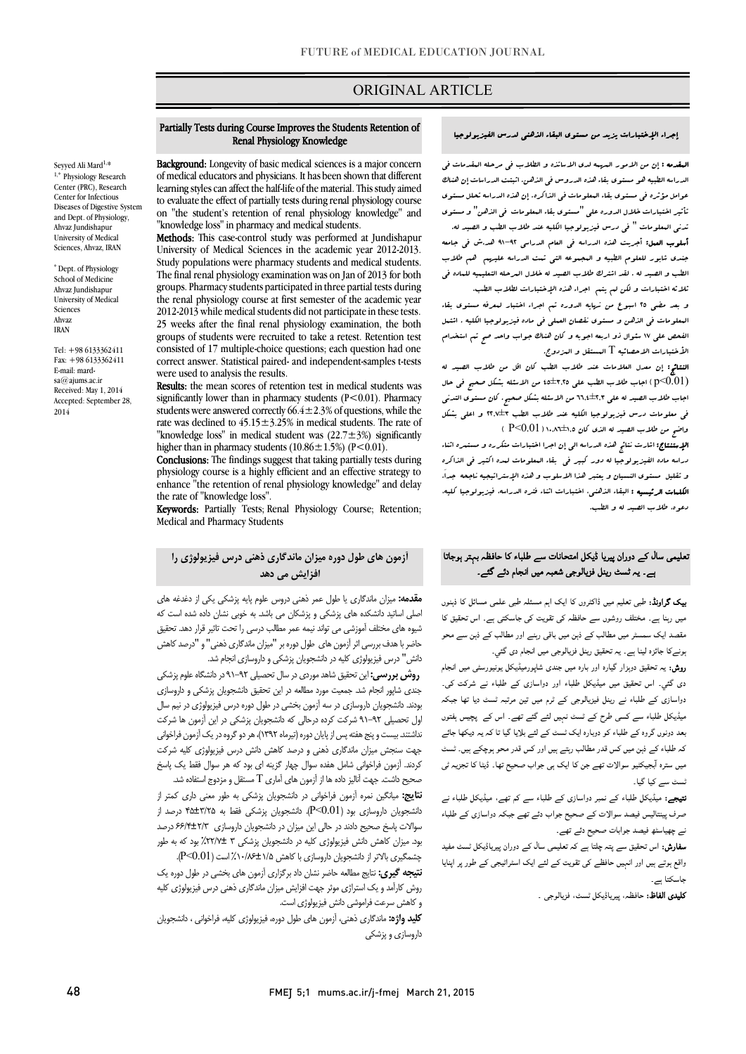# ORIGINAL ARTICLE

#### إجراء الإختبارات یزید من مستوي البقاء الذهنی لدرس الفیزیولوجیا

Ī

 المقدمه : إن من الامور المهمه لدي الاساتذه و الطلاب فی مرحله المقدمات فی عوده عبيد عوامل مؤثره بقاء المعلومات فی الذاکره. إن هذه الدراسه تحلل مستوي<br>عوامل مؤثره فی مستوي بقاء البعلومات فی الذاکره. إن هذه الدراسه تحلل مستوي تأثیر اختبارات خلال الدوره علی "مستوي بقاء المعلومات فی الذهن" و مستوي تدنی المعلومات " فی درس فیزیولوجیا الکلیه عند طلاب الطب و الصید له. أسلوب العمل: أجریت هذه الدراسه فی العام الدراسی 91-92 هد.ش فی جامعه جندي شابور للعلوم الطبیه و المجموعه التی تمت الدراسه علیهم هم طلاب الطب و الصید له . لقد اشترك طلاب الصید له خلال المرحله التعلیمیه للماده فی ثلاثه اختبارات و لکن لم یتم اجراء هذه الإختبارات لطلاب الطب. الدراسه الطبیه هو مستوي بقاء هذه الدروس فی الذهن. اثبتت الدراسات إن هناك

 المعلومات فی الذهن و مستوي نقصان العملی فی ماده فیزیولوجیا الکلیه . اشتمل الفحص علی 17 سئوال ذو اربعه اجوبه و کان هناك جواب واحد صح تم استخدام الأختبارات الاحصائیه T المستقل و المزدوج. و بعد مضی 25 اسبوع من نهایه الدوره تم اجراء اختبار لمعرفه مستوي بقاء

 النتائج: إن معدل العلامات عند طلاب الطب کان اقل من طلاب الصید له وال $( {\rm p} < 0.01)$  ) اجاب طلاب الطب علی ۶٬۲۵ $\pm$ 15 من الاسئله بشکل صحیح فی حال اجاب طلاب الصید له علی 66,4±2,3 من الاسئله بشکل صحیح. کان مستوي التدنی ی مسیحت سال سال 10,2000 و.<br>واضح من طلاب الصید له الذی کان ۱۰,۵۵±۱,۰۲ (P<0.01 فی معلومات درس فیزیولوجیا الکلیه عند طلاب الطب 22,7±3 و اعلی بشکل

ا<br>**الإستنتاج:** اشارت نتائج هذه الدراسه ال<sub>ی ب</sub>ان اجرا اختبارات متکرره و مستبره اثناء دراسه ماده الفیزیولوجیا له دور کبیر فی بقاء المعلومات لمده اکثیر فی الذاکره و تقلیل مستوي النسیان و یعتبر هذا الاسلوب و هذه الإستراتیجیه ناجحه جدا.َ الکلمات الرئیسیه : البقاء الذهنی، اختبارات اثناء فتره الدراسه، فیزیولوجیا کلیه، دعوه، طلاب الصید له و الطب.

# ۔<br>نعلیمی سال کے دوران پیریا ڈیکل امتحانات سے طلباء کا حافظہ بہتر ہوجاتا ے۔ یہ شسٹ رینل فزیالوجی شعبہ میں انجام دئے گئے۔<br>ے۔ یہ ٹسٹ رینل فزیالوجی شعبہ میں انجام دئے گئے۔

**یپک گراونڈ:** طبی تعلیم میں ڈاکٹروں کا ایک اہم مسئلہ طبی علمی مسائل کا ذہنوں میں رہنا ہے۔ مختلف روشوں سے حافظہ کی تقویت کی جاسکتی ہے۔ اس تحقیق کا مقصد ایک سمسٹر میں مطالب کے ذہن میں باقی رہنے اور مطالب کے ذہن سے محو ۔ ونےکا جائزہ لینا ہے۔ یہ تحقیق رینل فزیالوجی میں انجام دی گئي۔<br>۔

ریں. یہ علیق مزہور ہیوں کر دو ہیں بندی سپورٹینیا من یونیورسی میں جہتے<br>دی گئي۔ اس تحقیق میں میڈیکل طلباء اور دواسازی کے طلباء نے شرکت کی۔ دوازی ء ر م د ۔<br>میڈیکل طلباء سے کسی طرح کے ٹسٹ نہیں لئے گئے تھے۔ اس کے پچیس ہفتوں بعد دونوں گروہ کے طلباء کو دوبارہ ایک ٹسٹ کے لئے بلایا گیا تا کہ یہ دیکھا جائے کہ طلباء کے ذہن میں کس قدر مطالب رہتے ہیں اور کس قدر محو ہوچکے ہیں۔ ٹسٹ میں سترہ آبجیکٹیو سوالات تھے جن کا ایک ہی جواب صحیح تھا۔ ڈیٹا کا تجزیہ ٹی **روش:** یہ تحقیق دوبزار گیارہ اور بارہ میں جندی شاپورمیڈیکل یونیورسٹی میں انجام ٹسٹ سے کیا گیا۔

**تیجے:** میڈیکل طلباء کے نمبر دواسازی کے طلباء سے کم تھے، میڈیکل طلباء نے صرف پینتالیس فیصد سوالات کے صحیح جواب دئے تھے جبکہ دواسازی کے طلباء<br>. ے چھیاسٹھ فیصد جوابات صحیح دئے تھے۔<br>۔

و ں کا سے سے سے ہوا ہے۔<br>واقع ہوتے ہیں اور انہیں حافظے کی تقویت کے لئے ایک اسٹراٹیجی کے طور پر اپنایا **سفارش:** اس تحقیق سے پتہ چلتا ہے کہ تعلیمی سال کے دوران پیرپاڈیکل ٹسٹ مفید جاسکتا ہے۔

**تلیدی الفاظ:** حافظہ، پیریاڈیکل ٹسٹ، فزیالوجی ۔

#### j Partially Tests during Course Improves the Students Retention of Renal Physiology Knowledge

Ī

**Bat Sylving:** Longevity of Dasic medical sciences is a major concern<br>of medical educators and physicians. It has been shown that different learning styles can affect the half-life of the material. This study aimed to evaluate the effect of partially tests during renal physiology course "knowledge loss" in pharmacy and medical students. Background: Longevity of basic medical sciences is a major concern on "the student's retention of renal physiology knowledge" and

 Methods: This case-control study was performed at Jundishapur Study populations were pharmacy students and medical students. The final renal physiology examination was on Jan of 2013 for both the renal physiology course at first semester of the academic year 2012-2013 while medical students did not participate in these tests. groups of students were recruited to take a retest. Retention test consisted of 17 multiple-choice questions; each question had one correct answer. Statistical paired- and independent-samples t-tests University of Medical Sciences in the academic year 2012-2013. groups. Pharmacy students participated in three partial tests during 25 weeks after the final renal physiology examination, the both were used to analysis the results.

Results: the mean scores of retention test in medical students was significantly lower than in pharmacy students  $(1 \le 0.01)$ . Filamacy<br>students were answered correctly 66.4±2.3% of questions, while the rate was declined to  $45.15 \pm 3.25\%$  in medical students. The rate of knowledge foss in includat student was  $(22.7 \pm 5.6)$  signals higher than in pharmacy students  $(10.86 \pm 1.5%)$  (P<0.01). significantly lower than in pharmacy students (P<0.01). Pharmacy "knowledge loss" in medical student was  $(22.7 \pm 3)$  significantly

Conclusions: The findings suggest that taking partially tests during physiology course is a highly efficient and an effective strategy to enhance "the retention of renal physiology knowledge" and delay the rate of "knowledge loss".

 Keywords: Partially Tests; Renal Physiology Course; Retention; Medical and Pharmacy Students

### آزمون هاي طول دوره میزان ماندگاري ذهنی درس فیزیولوژي را افزایش می دهد

ک اہم مسئلہ طبی علمی مسائل کا ذہنوں ہیں م**قدمه:** میزان ماندگاری یا طول عمر ذهنی دروس علوم پایه پزشکی یکی از دغدغه های صیی اسانید داشتخد سای پرسانی و پرسانان می باشد. به حویی نسان داده سده است که<br>شیوه های مختلف آموزشی می تواند نیمه عمر مطالب درسی را تحت تاثیر قرار دهد. تحقیق حاضر با هدف بررسی اثر آزمون هاي طول دوره بر "میزان ماندگاري ذهنی" و "درصد کاهش دانش" درس فیزیولوژي کلیه در دانشجویان پزشکی و داروسازي انجام شد. اصلی اساتید دانشکده هاي پزشکی و پزشکان می باشد. به خوبی نشان داده شده است که

 روش بررسی: این تحقیق شاهد موردي در سال تحصیلی 91-92 در دانشگاه علوم پزشکی جندي شاپور انجام شد. جمعیت مورد مطالعه در این تحقیق دانشجویان پزشکی و داروسازي بودند. دانشجویان داروسازي در سه آزمون بخشی در طول دوره درس فیزیولوژي در نیم سال رت<br>نداشتند. بیست و پنج هفته پس از پایان دوره (تیرماه ۱۳۹۲)، هر دو گروه در یک آزمون فراخوانی جهت سنجش میزان ماندگاري ذهنی و درصد کاهش دانش درس فیزیولوژي کلیه شرکت کردند. آزمون فراخوانی شامل هفده سوال چهار گزینه اي بود که هر سوال فقط یک پاسخ صحیح داشت. جهت آنالیز داده ها از آزمون های آماری  $\rm T$  مستقل و مزدوج استفاده شد. اول تحصیلی 91-92 شرکت کرده درحالی که دانشجویان پزشکی در این آزمون ها شرکت

 نتایج: میانگین نمره آزمون فراخوانی در دانشجویان پزشکی به طور معنی داري کمتر از سوالات پاسخ صحیح دادند در حالی این میزان در دانشجویان داروسازي 66/4±2/3 درصد بود. میزان کاهش دانش فیزیولوژی کلیه در دانشجویان پزشکی ۳ ±۲۲/۷#٪ بود که به طور چشمگیري بالاتر از دانشجویان داروسازي با کاهش %10/86±1/5 است (0.01>P(. دانشجویان داروسازی بود (P<0.01). دانشجویان پزشکی فقط به ۴۵±۲/۲۵ درصد از

 نتیجه گیري: نتایج مطالعه حاضر نشان داد برگزاري آزمون هاي بخشی در طول دوره یک روش کارآمد و یک استراژي موثر جهت افزایش میزان ماندگاري ذهنی درس فیزیولوژي کلیه י<br>. و کاهش سرعت فراموشی دانش فیزیولوژي است.

**کلید واژه:** ماندگاری ذهنی، آزمون های طول دوره، فیزیولوژی کلیه، فراخوانی ، دانشجویان<br>دلسانه داروسازي و پزشکی

Seyyed Ali Mard1, \*  $1$ ,\* Physiology Research Center (PRC), Research Center for Infectious Diseases of Digestive System and Dept. of Physiology, Ahvaz Jundishapur University of Medical Sciences, Ahvaz, IRAN

\* Dept. of Physiology School of Medicine Ahvaz Jundishapur University of Medical Sciences Ahvaz IRAN

Tel: +98 6133362411 Fax: +98 6133362411 E-mail: mard $sa@$ ajums.ac.ir Received: May 1, 2014 Accepted: September 28, 2014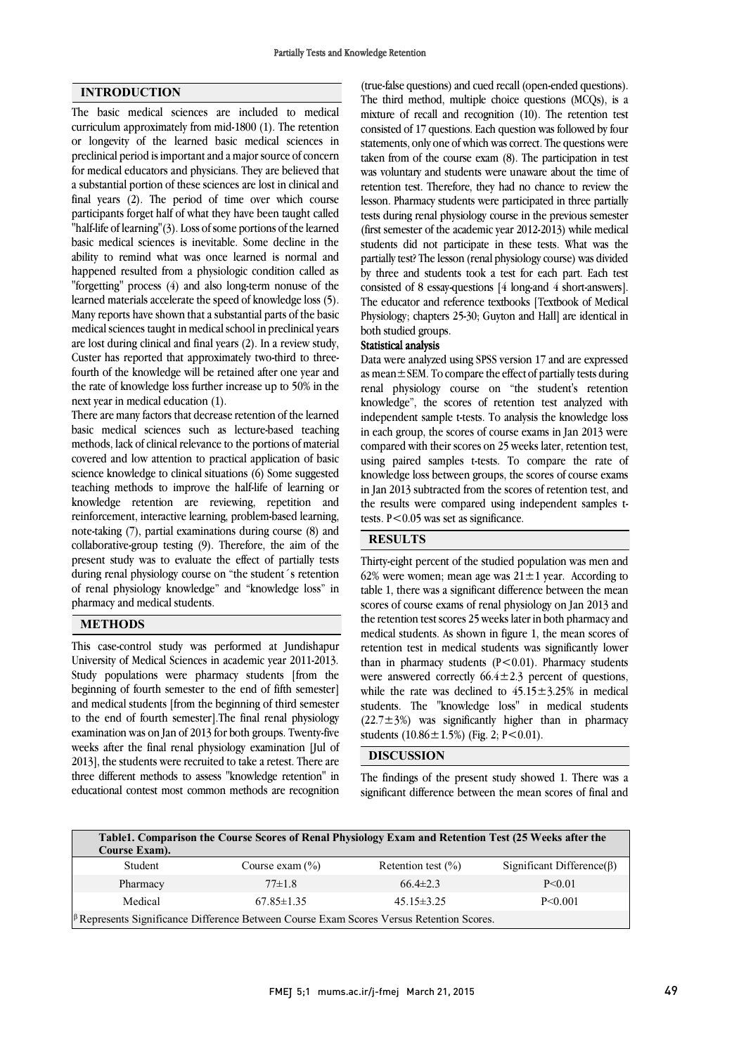## INTRODUCTION

The basic medical sciences are included to medical curriculum approximately from mid-1800 (1). The retention or longevity of the learned basic medical sciences in preclinical period is important and a major source of concern for medical educators and physicians. They are believed that a substantial portion of these sciences are lost in clinical and final years (2). The period of time over which course participants forget half of what they have been taught called "half-life of learning"(3). Loss of some portions of the learned basic medical sciences is inevitable. Some decline in the ability to remind what was once learned is normal and happened resulted from a physiologic condition called as "forgetting" process (4) and also long-term nonuse of the learned materials accelerate the speed of knowledge loss (5). Many reports have shown that a substantial parts of the basic medical sciences taught in medical school in preclinical years are lost during clinical and final years (2). In a review study, Custer has reported that approximately two-third to threefourth of the knowledge will be retained after one year and the rate of knowledge loss further increase up to 50% in the next year in medical education (1).

There are many factors that decrease retention of the learned basic medical sciences such as lecture-based teaching methods, lack of clinical relevance to the portions of material covered and low attention to practical application of basic science knowledge to clinical situations (6) Some suggested teaching methods to improve the half-life of learning or knowledge retention are reviewing, repetition and reinforcement, interactive learning, problem-based learning, note-taking (7), partial examinations during course (8) and collaborative-group testing (9). Therefore, the aim of the present study was to evaluate the effect of partially tests during renal physiology course on "the student´s retention of renal physiology knowledge" and "knowledge loss" in pharmacy and medical students.

#### METHODS

This case-control study was performed at Jundishapur University of Medical Sciences in academic year 2011-2013. Study populations were pharmacy students [from the beginning of fourth semester to the end of fifth semester] and medical students [from the beginning of third semester to the end of fourth semester].The final renal physiology examination was on Jan of 2013 for both groups. Twenty-five weeks after the final renal physiology examination [Jul of 2013], the students were recruited to take a retest. There are three different methods to assess "knowledge retention" in educational contest most common methods are recognition  (true-false questions) and cued recall (open-ended questions). The third method, multiple choice questions (MCQs), is a mixture of recall and recognition (10). The retention test consisted of 17 questions. Each question was followed by four taken from of the course exam (8). The participation in test was voluntary and students were unaware about the time of retention test. Therefore, they had no chance to review the lesson. Pharmacy students were participated in three partially (first semester of the academic year 2012-2013) while medical students did not participate in these tests. What was the partially test? The lesson (renal physiology course) was divided by three and students took a test for each part. Each test The educator and reference textbooks [Textbook of Medical Physiology; chapters 25-30; Guyton and Hall] are identical in both studied groups. statements, only one of which was correct. The questions were tests during renal physiology course in the previous semester consisted of 8 essay-questions [4 long-and 4 short-answers].

# Statistical analysis

 as mean±SEM. To compare the effect of partially tests during renal physiology course on "the student's retention knowledge", the scores of retention test analyzed with independent sample t-tests. To analysis the knowledge loss compared with their scores on 25 weeks later, retention test, using paired samples t-tests. To compare the rate of knowledge loss between groups, the scores of course exams in Jan 2013 subtracted from the scores of retention test, and tests. P<0.05 was set as significance. Data were analyzed using SPSS version 17 and are expressed in each group, the scores of course exams in Jan 2013 were the results were compared using independent samples t-

## **RESULTS**

 Thirty-eight percent of the studied population was men and table 1, there was a significant difference between the mean scores of course exams of renal physiology on Jan 2013 and the retention test scores 25 weeks later in both pharmacy and medical students. As shown in figure 1, the mean scores of than in pharmacy students  $(P<0.01)$ . Pharmacy students were answered correctly  $66.4 \pm 2.3$  percent of questions, while the rate was declined to  $45.15 \pm 3.25\%$  in medical students. The "knowledge loss" in medical students students  $(10.86 \pm 1.5\%)$  (Fig. 2; P<0.01). 62% were women; mean age was  $21 \pm 1$  year. According to retention test in medical students was significantly lower  $(22.7\pm3%)$  was significantly higher than in pharmacy

## DISCUSSION $\overline{a}$

 The findings of the present study showed 1. There was a significant difference between the mean scores of final and

| Table1. Comparison the Course Scores of Renal Physiology Exam and Retention Test (25 Weeks after the<br>Course Exam). |                     |                        |                                   |
|-----------------------------------------------------------------------------------------------------------------------|---------------------|------------------------|-----------------------------------|
| Student                                                                                                               | Course exam $(\% )$ | Retention test $(\% )$ | Significant Difference( $\beta$ ) |
| Pharmacy                                                                                                              | $77\pm1.8$          | 66 4 $\pm$ 2 3         | $P \le 0.01$                      |
| Medical                                                                                                               | $67.85 \pm 1.35$    | $45.15 \pm 3.25$       | $P \le 0.001$                     |
| <sup>[6</sup> Represents Significance Difference Between Course Exam Scores Versus Retention Scores.]                 |                     |                        |                                   |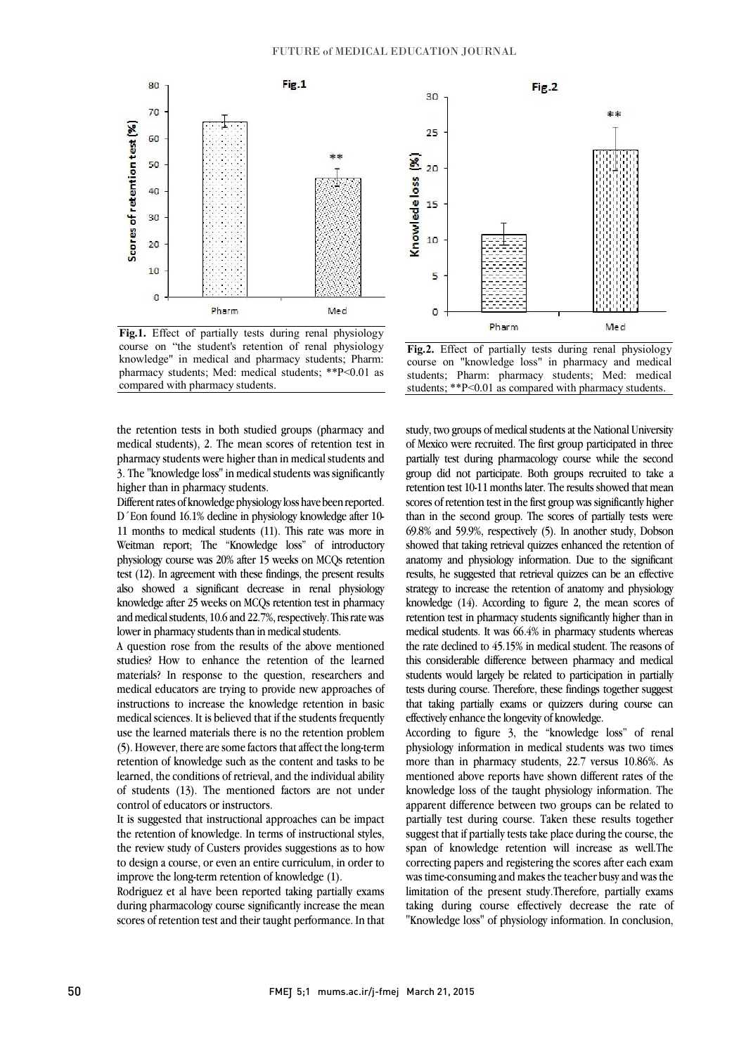

Fig.1. Effect of partially tests during renal physiology course on "the student's retention of renal physiology pharmacy students; Med: medical students; \*\*P<0.01 as knowledge" in medical and pharmacy students; Pharm: compared with pharmacy students.



 Different rates of knowledge physiology loss have been reported. D´Eon found 16.1% decline in physiology knowledge after 10- 11 months to medical students (11). This rate was more in Weitman report; The "Knowledge loss" of introductory physiology course was 20% after 15 weeks on MCQs retention also showed a significant decrease in renal physiology knowledge after 25 weeks on MCQs retention test in pharmacy and medical students, 10.6 and 22.7%, respectively. This rate was test (12). In agreement with these findings, the present results lower in pharmacy students than in medical students.

A question rose from the results of the above mentioned studies? How to enhance the retention of the learned materials? In response to the question, researchers and medical educators are trying to provide new approaches of medical sciences. It is believed that if the students frequently use the learned materials there is no the retention problem (5). However, there are some factors that affect the long-term retention of knowledge such as the content and tasks to be of students (13). The mentioned factors are not under instructions to increase the knowledge retention in basic learned, the conditions of retrieval, and the individual ability control of educators or instructors.

 It is suggested that instructional approaches can be impact the retention of knowledge. In terms of instructional styles, to design a course, or even an entire curriculum, in order to improve the long-term retention of knowledge (1). the review study of Custers provides suggestions as to how

 Rodriguez et al have been reported taking partially exams during pharmacology course significantly increase the mean scores of retention test and their taught performance. In that



 Fig.2. Effect of partially tests during renal physiology students; Pharm: pharmacy students; Med: medical students; \*\*P<0.01 as compared with pharmacy students.course on "knowledge loss" in pharmacy and medical

 study, two groups of medical students at the National University of Mexico were recruited. The first group participated in three partially test during pharmacology course while the second group did not participate. Both groups recruited to take a scores of retention test in the first group was significantly higher than in the second group. The scores of partially tests were 69.8% and 59.9%, respectively (5). In another study, Dobson showed that taking retrieval quizzes enhanced the retention of results, he suggested that retrieval quizzes can be an effective strategy to increase the retention of anatomy and physiology knowledge (14). According to figure 2, the mean scores of retention test in pharmacy students significantly higher than in the rate declined to 45.15% in medical student. The reasons of this considerable difference between pharmacy and medical students would largely be related to participation in partially tests during course. Therefore, these findings together suggest that taking partially exams or quizzers during course can retention test 10-11 months later. The results showed that mean anatomy and physiology information. Due to the significant medical students. It was 66.4% in pharmacy students whereas effectively enhance the longevity of knowledge.

 According to figure 3, the "knowledge loss" of renal physiology information in medical students was two times more than in pharmacy students, 22.7 versus 10.86%. As knowledge loss of the taught physiology information. The apparent difference between two groups can be related to partially test during course. Taken these results together suggest that if partially tests take place during the course, the correcting papers and registering the scores after each exam was time-consuming and makes the teacher busy and was the limitation of the present study.Therefore, partially exams taking during course effectively decrease the rate of "Knowledge loss" of physiology information. In conclusion, mentioned above reports have shown different rates of the span of knowledge retention will increase as well.The